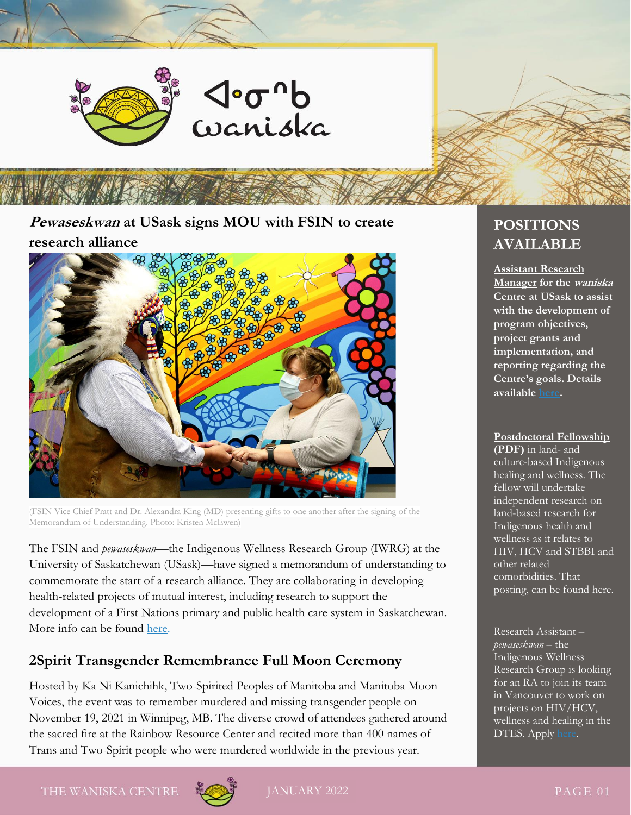

į

**Pewaseskwan at USask signs MOU with FSIN to create research alliance**



(FSIN Vice Chief Pratt and Dr. Alexandra King (MD) presenting gifts to one another after the signing of the Memorandum of Understanding. Photo: Kristen McEwen)

The FSIN and *pewaseskwan*—the Indigenous Wellness Research Group (IWRG) at the University of Saskatchewan (USask)—have signed a memorandum of understanding to commemorate the start of a research alliance. They are collaborating in developing health-related projects of mutual interest, including research to support the development of a First Nations primary and public health care system in Saskatchewan. More info can be found [here.](https://news.usask.ca/articles/colleges/2021/pewaseskwan-at-usask-signs-mou-with-fsin-to-create-research-alliance.php)

# **2Spirit Transgender Remembrance Full Moon Ceremony**

Hosted by Ka Ni Kanichihk, Two-Spirited Peoples of Manitoba and Manitoba Moon Voices, the event was to remember murdered and missing transgender people on November 19, 2021 in Winnipeg, MB. The diverse crowd of attendees gathered around the sacred fire at the Rainbow Resource Center and recited more than 400 names of Trans and Two-Spirit people who were murdered worldwide in the previous year.

# **POSITIONS AVAILABLE**

**Assistant Research Manager for the waniska Centre at USask to assist with the development of program objectives, project grants and implementation, and reporting regarding the Centre's goals. Details availabl[e here.](https://usask.csod.com/ux/ats/careersite/14/home/requisition/7803?c=usask&_ga=2.133246030.1907666027.1643032821-1938365357.1615586262)** 

#### **Postdoctoral Fellowship**

**(PDF)** in land- and culture-based Indigenous healing and wellness. The fellow will undertake independent research on land-based research for Indigenous health and wellness as it relates to HIV, HCV and STBBI and other related comorbidities. That posting, can be foun[d here.](https://waniskacentre.ca/jobs/)

Research Assistant – *pewaseskwan* – the Indigenous Wellness Research Group is looking for an RA to join its team in Vancouver to work on projects on HIV/HCV, wellness and healing in the DTES. Appl[y here.](https://ca.indeed.com/jobs?q=research%20assistant&l=Vancouver,%20BC&vjk=5d50d4cb67c30af0&advn=5936301851491262)

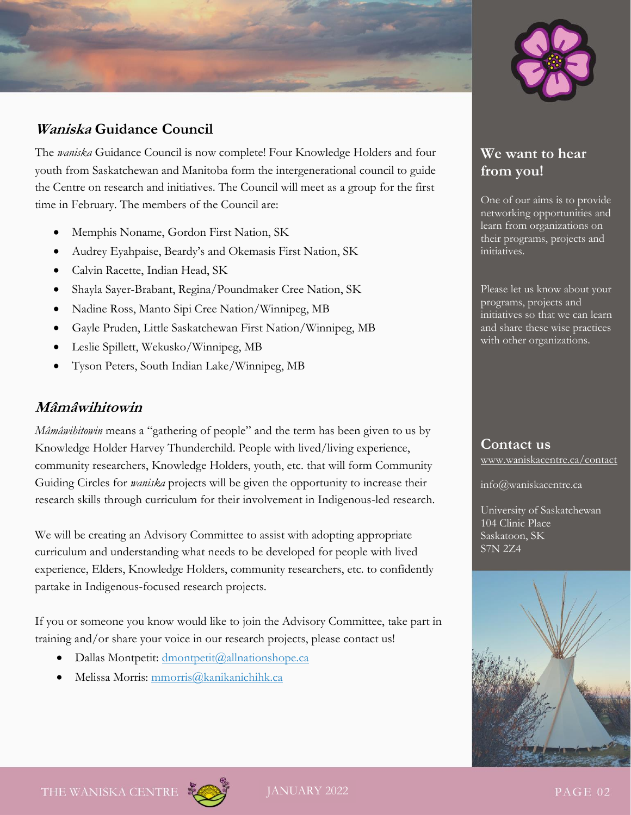

# **Waniska Guidance Council**

The *waniska* Guidance Council is now complete! Four Knowledge Holders and four youth from Saskatchewan and Manitoba form the intergenerational council to guide the Centre on research and initiatives. The Council will meet as a group for the first time in February. The members of the Council are:

- Memphis Noname, Gordon First Nation, SK
- Audrey Eyahpaise, Beardy's and Okemasis First Nation, SK
- Calvin Racette, Indian Head, SK
- Shayla Sayer-Brabant, Regina/Poundmaker Cree Nation, SK
- Nadine Ross, Manto Sipi Cree Nation/Winnipeg, MB
- Gayle Pruden, Little Saskatchewan First Nation/Winnipeg, MB
- Leslie Spillett, Wekusko/Winnipeg, MB
- Tyson Peters, South Indian Lake/Winnipeg, MB

### **Mâmâwihitowin**

*Mâmâwihitowin* means a "gathering of people" and the term has been given to us by Knowledge Holder Harvey Thunderchild. People with lived/living experience, community researchers, Knowledge Holders, youth, etc. that will form Community Guiding Circles for *waniska* projects will be given the opportunity to increase their research skills through curriculum for their involvement in Indigenous-led research.

We will be creating an Advisory Committee to assist with adopting appropriate curriculum and understanding what needs to be developed for people with lived experience, Elders, Knowledge Holders, community researchers, etc. to confidently partake in Indigenous-focused research projects.

If you or someone you know would like to join the Advisory Committee, take part in training and/or share your voice in our research projects, please contact us!

- Dallas Montpetit: [dmontpetit@allnationshope.ca](mailto:dmontpetit@allnationshope.ca)
- Melissa Morris: [mmorris@kanikanichihk.ca](mailto:mmorris@kanikanichihk.ca)

# **We want to hear from you!**

One of our aims is to provide networking opportunities and learn from organizations on their programs, projects and initiatives.

Please let us know about your programs, projects and initiatives so that we can learn and share these wise practices with other organizations.

**Contact us** www.waniskacentre.ca/contact

info@waniskacentre.ca

University of Saskatchewan 104 Clinic Place Saskatoon, SK S7N 2Z4



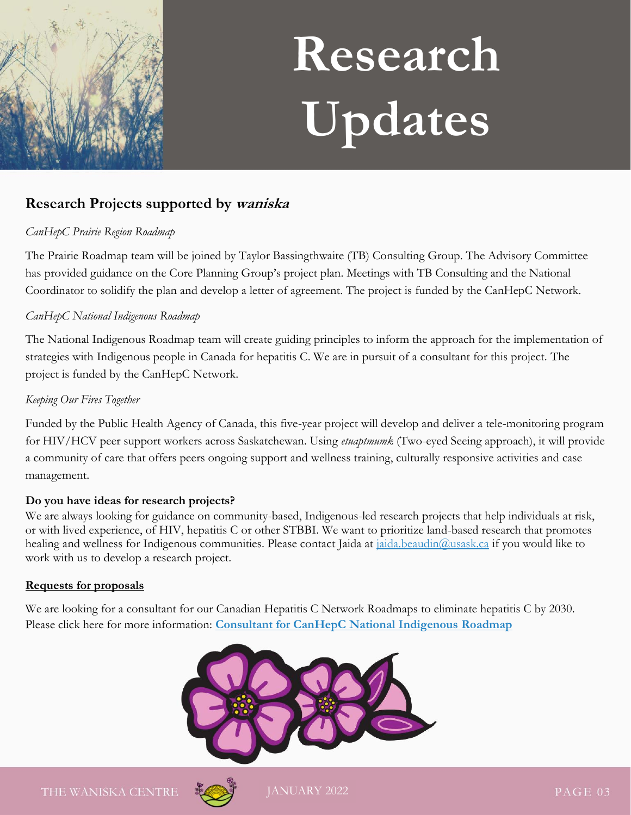

# **Research Updates**

# **Research Projects supported by waniska**

#### *CanHepC Prairie Region Roadmap*

The Prairie Roadmap team will be joined by Taylor Bassingthwaite (TB) Consulting Group. The Advisory Committee has provided guidance on the Core Planning Group's project plan. Meetings with TB Consulting and the National Coordinator to solidify the plan and develop a letter of agreement. The project is funded by the CanHepC Network.

#### *CanHepC National Indigenous Roadmap*

The National Indigenous Roadmap team will create guiding principles to inform the approach for the implementation of strategies with Indigenous people in Canada for hepatitis C. We are in pursuit of a consultant for this project. The project is funded by the CanHepC Network.

#### *Keeping Our Fires Together*

Funded by the Public Health Agency of Canada, this five-year project will develop and deliver a tele-monitoring program for HIV/HCV peer support workers across Saskatchewan. Using *etuaptmumk* (Two-eyed Seeing approach), it will provide a community of care that offers peers ongoing support and wellness training, culturally responsive activities and case management.

#### **Do you have ideas for research projects?**

We are always looking for guidance on community-based, Indigenous-led research projects that help individuals at risk, or with lived experience, of HIV, hepatitis C or other STBBI. We want to prioritize land-based research that promotes healing and wellness for Indigenous communities. Please contact Jaida at [jaida.beaudin@usask.ca](mailto:jaida.beaudin@usask.ca) if you would like to work with us to develop a research project.

#### **Requests for proposals**

We are looking for a consultant for our Canadian Hepatitis C Network Roadmaps to eliminate hepatitis C by 2030. Please click here for more information: **[Consultant for CanHepC National Indigenous Roadmap](https://waniskacentre.ca/request-for-proposals/canhepc-national-indigenous-roadmap-rfp/)**



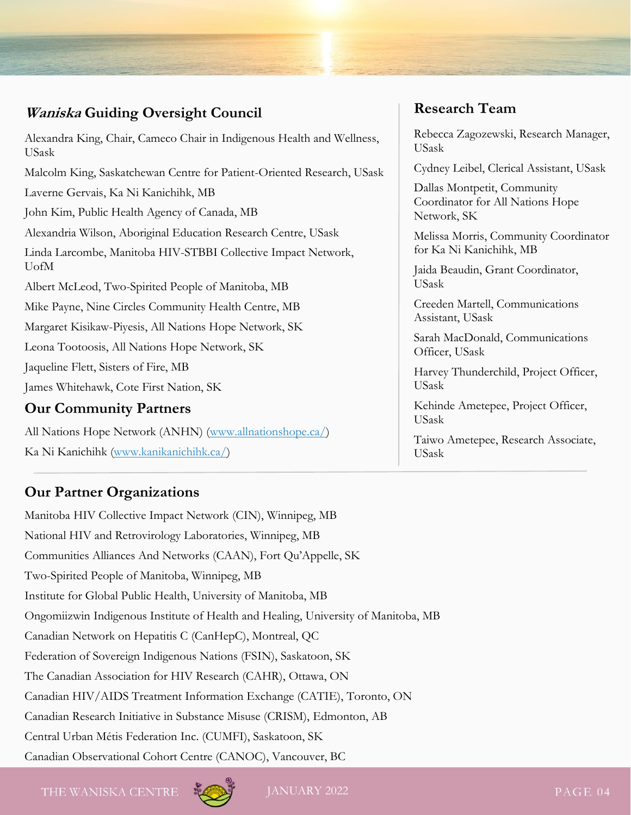# **Waniska Guiding Oversight Council**

| Alexandra King, Chair, Cameco Chair in Indigenous Health and Wellness,<br><b>USask</b> |
|----------------------------------------------------------------------------------------|
| Malcolm King, Saskatchewan Centre for Patient-Oriented Research, USask                 |
| Laverne Gervais, Ka Ni Kanichihk, MB                                                   |
| John Kim, Public Health Agency of Canada, MB                                           |
| Alexandria Wilson, Aboriginal Education Research Centre, USask                         |
| Linda Larcombe, Manitoba HIV-STBBI Collective Impact Network,<br>UofM                  |
| Albert McLeod, Two-Spirited People of Manitoba, MB                                     |
| Mike Payne, Nine Circles Community Health Centre, MB                                   |
| Margaret Kisikaw-Piyesis, All Nations Hope Network, SK                                 |
| Leona Tootoosis, All Nations Hope Network, SK                                          |
| Jaqueline Flett, Sisters of Fire, MB                                                   |
| James Whitehawk, Cote First Nation, SK                                                 |
| <b>Our Community Partners</b>                                                          |

All Nations Hope Network (ANHN) [\(www.allnationshope.ca/\)](http://www.allnationshope.ca/) Ka Ni Kanichihk [\(www.kanikanichihk.ca/\)](http://www.kanikanichihk.ca/)

# **Our Partner Organizations**

Manitoba HIV Collective Impact Network (CIN), Winnipeg, MB National HIV and Retrovirology Laboratories, Winnipeg, MB Communities Alliances And Networks (CAAN), Fort Qu'Appelle, SK Two-Spirited People of Manitoba, Winnipeg, MB Institute for Global Public Health, University of Manitoba, MB Ongomiizwin Indigenous Institute of Health and Healing, University of Manitoba, MB Canadian Network on Hepatitis C (CanHepC), Montreal, QC Federation of Sovereign Indigenous Nations (FSIN), Saskatoon, SK The Canadian Association for HIV Research (CAHR), Ottawa, ON Canadian HIV/AIDS Treatment Information Exchange (CATIE), Toronto, ON Canadian Research Initiative in Substance Misuse (CRISM), Edmonton, AB Central Urban Métis Federation Inc. (CUMFI), Saskatoon, SK Canadian Observational Cohort Centre (CANOC), Vancouver, BC

# **Research Team**

Rebecca Zagozewski, Research Manager, USask

Cydney Leibel, Clerical Assistant, USask

Dallas Montpetit, Community Coordinator for All Nations Hope Network, SK

Melissa Morris, Community Coordinator for Ka Ni Kanichihk, MB

Jaida Beaudin, Grant Coordinator, USask

Creeden Martell, Communications Assistant, USask

Sarah MacDonald, Communications Officer, USask

Harvey Thunderchild, Project Officer, USask

Kehinde Ametepee, Project Officer, USask

Taiwo Ametepee, Research Associate, USask